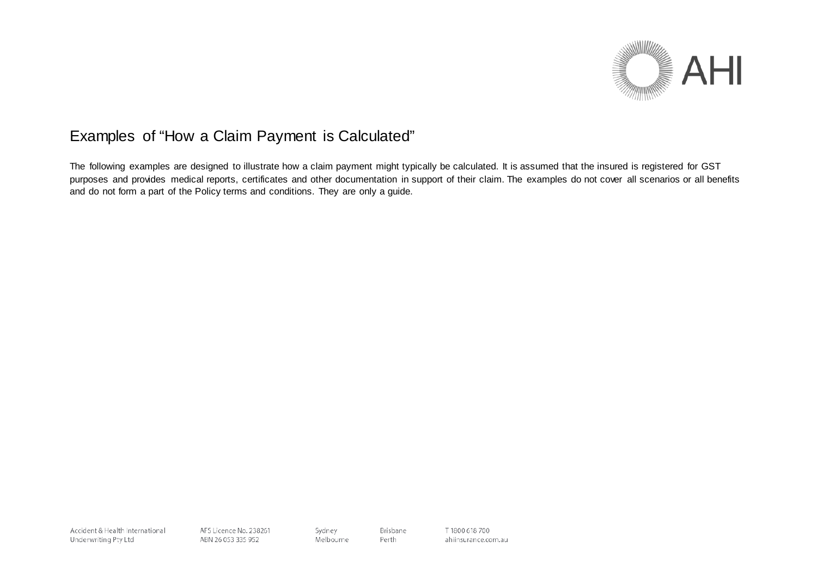

# Examples of "How a Claim Payment is Calculated"

The following examples are designed to illustrate how a claim payment might typically be calculated. It is assumed that the insured is registered for GST purposes and provides medical reports, certificates and other documentation in support of their claim. The examples do not cover all scenarios or all benefits and do not form a part of the Policy terms and conditions. They are only a guide.

Accident & Health International Underwriting Pty Ltd

AFS Licence No. 238261 ABN 26 053 335 952

Sydney Melbourne Brisbane

Perth

T 1800 618 700 ahiinsurance.com.au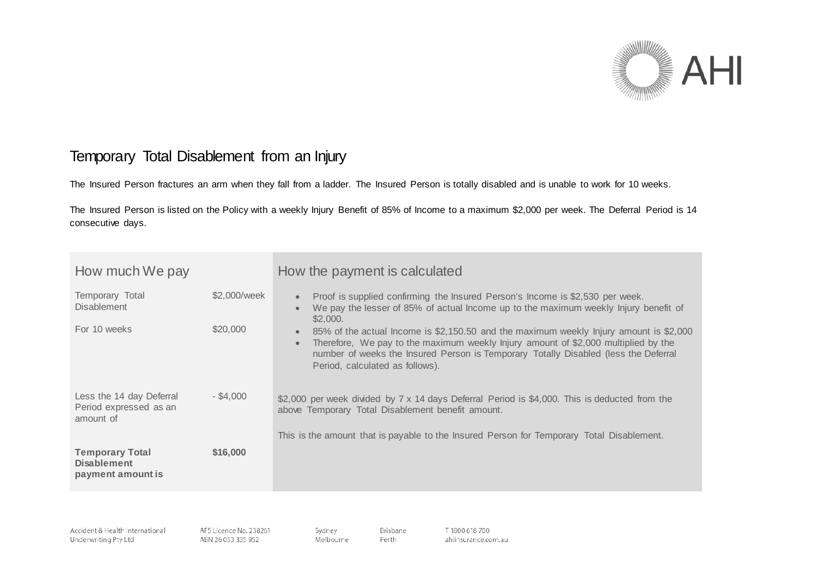

## Temporary Total Disablement from an Injury

The Insured Person fractures an arm when they fall from a ladder. The Insured Person is totally disabled and is unable to work for 10 weeks.

The Insured Person is listed on the Policy with a weekly Injury Benefit of 85% of Income to a maximum \$2,000 per week. The Deferral Period is 14 consecutive days.

| How much We pay                                                   |                          | How the payment is calculated                                                                                                                                                                                                                                                                                                                                                                                                                                                                            |
|-------------------------------------------------------------------|--------------------------|----------------------------------------------------------------------------------------------------------------------------------------------------------------------------------------------------------------------------------------------------------------------------------------------------------------------------------------------------------------------------------------------------------------------------------------------------------------------------------------------------------|
| Temporary Total<br><b>Disablement</b><br>For 10 weeks             | \$2,000/week<br>\$20,000 | Proof is supplied confirming the Insured Person's Income is \$2,530 per week.<br>$\bullet$<br>We pay the lesser of 85% of actual lncome up to the maximum weekly Injury benefit of<br>\$2,000.<br>85% of the actual Income is \$2,150.50 and the maximum weekly Injury amount is \$2,000<br>Therefore, We pay to the maximum weekly lnjury amount of \$2,000 multiplied by the<br>number of weeks the Insured Person is Temporary Totally Disabled (less the Deferral<br>Period, calculated as follows). |
| Less the 14 day Deferral<br>Period expressed as an<br>amount of   | $-$ \$4.000              | \$2,000 per week divided by 7 x 14 days Deferral Period is \$4,000. This is deducted from the<br>above Temporary Total Disablement benefit amount.<br>This is the amount that is payable to the Insured Person for Temporary Total Disablement.                                                                                                                                                                                                                                                          |
| <b>Temporary Total</b><br><b>Disablement</b><br>payment amount is | \$16,000                 |                                                                                                                                                                                                                                                                                                                                                                                                                                                                                                          |

Brisbane

Perth

Accident & Health International Underwriting Pty Ltd

AFS Licence No. 238261 ABN 26 053 335 952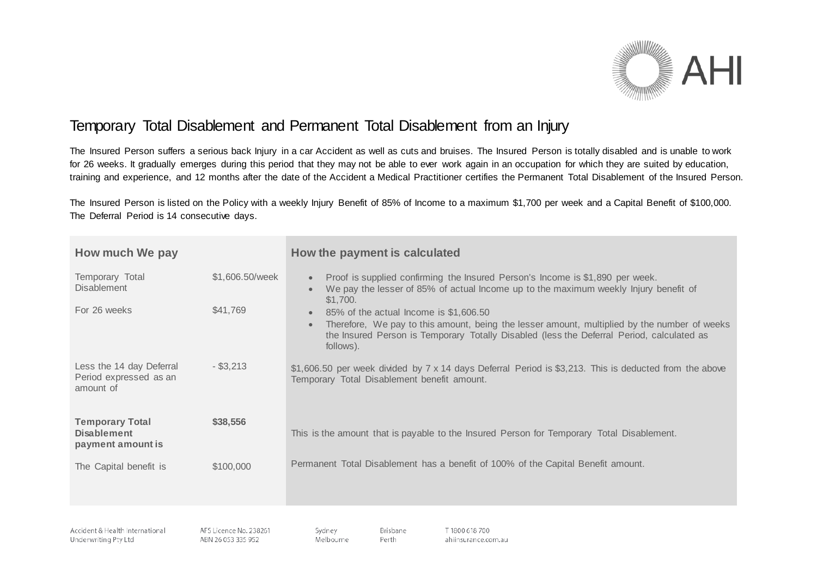

## Temporary Total Disablement and Permanent Total Disablement from an Injury

The Insured Person suffers a serious back Injury in a car Accident as well as cuts and bruises. The Insured Person is totally disabled and is unable to work for 26 weeks. It gradually emerges during this period that they may not be able to ever work again in an occupation for which they are suited by education, training and experience, and 12 months after the date of the Accident a Medical Practitioner certifies the Permanent Total Disablement of the Insured Person.

The Insured Person is listed on the Policy with a weekly Injury Benefit of 85% of Income to a maximum \$1,700 per week and a Capital Benefit of \$100,000. The Deferral Period is 14 consecutive days.

| How much We pay                                                   |                 | How the payment is calculated                                                                                                                                                                                                                                 |
|-------------------------------------------------------------------|-----------------|---------------------------------------------------------------------------------------------------------------------------------------------------------------------------------------------------------------------------------------------------------------|
| Temporary Total<br><b>Disablement</b>                             | \$1,606.50/week | Proof is supplied confirming the Insured Person's Income is \$1,890 per week.<br>We pay the lesser of 85% of actual lncome up to the maximum weekly Injury benefit of<br>\$1,700.                                                                             |
| For 26 weeks                                                      | \$41,769        | 85% of the actual Income is \$1,606.50<br>$\bullet$<br>Therefore, We pay to this amount, being the lesser amount, multiplied by the number of weeks<br>the Insured Person is Temporary Totally Disabled (less the Deferral Period, calculated as<br>follows). |
| Less the 14 day Deferral<br>Period expressed as an<br>amount of   | $-$ \$3,213     | \$1,606.50 per week divided by 7 x 14 days Deferral Period is \$3,213. This is deducted from the above<br>Temporary Total Disablement benefit amount.                                                                                                         |
| <b>Temporary Total</b><br><b>Disablement</b><br>payment amount is | \$38,556        | This is the amount that is payable to the Insured Person for Temporary Total Disablement.                                                                                                                                                                     |
| The Capital benefit is                                            | \$100,000       | Permanent Total Disablement has a benefit of 100% of the Capital Benefit amount.                                                                                                                                                                              |
|                                                                   |                 |                                                                                                                                                                                                                                                               |

Brisbane

Perth

Accident & Health International Underwriting Pty Ltd

AFS Licence No. 238261 ABN 26 053 335 952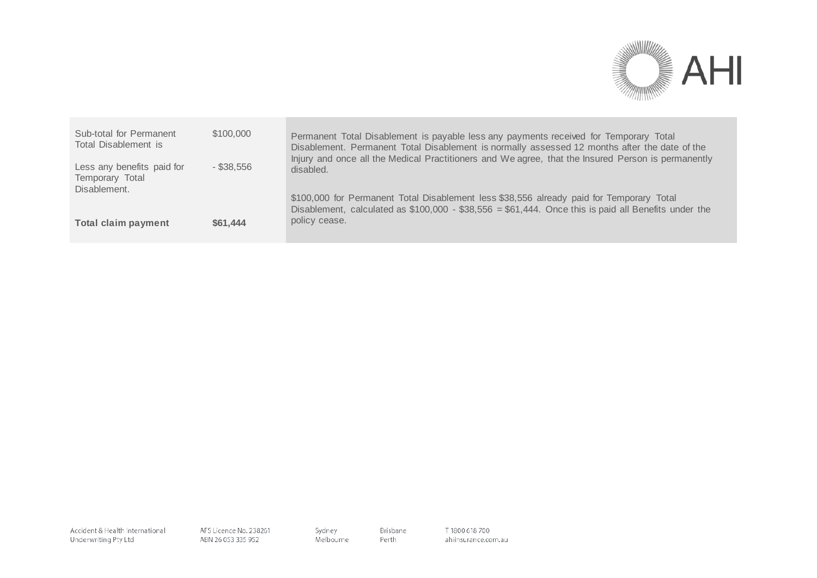

| Sub-total for Permanent<br>Total Disablement is               | \$100,000    | Permanent Total Disablement is payable less any payments received for Temporary Total<br>Disablement. Permanent Total Disablement is normally assessed 12 months after the date of the           |
|---------------------------------------------------------------|--------------|--------------------------------------------------------------------------------------------------------------------------------------------------------------------------------------------------|
| Less any benefits paid for<br>Temporary Total<br>Disablement. | $-$ \$38.556 | Injury and once all the Medical Practitioners and We agree, that the Insured Person is permanently<br>disabled.                                                                                  |
|                                                               |              | \$100,000 for Permanent Total Disablement less \$38,556 already paid for Temporary Total<br>Disablement, calculated as $$100,000 - $38,556 = $61,444$ . Once this is paid all Benefits under the |
| <b>Total claim payment</b>                                    | \$61,444     | policy cease.                                                                                                                                                                                    |

Brisbane

Perth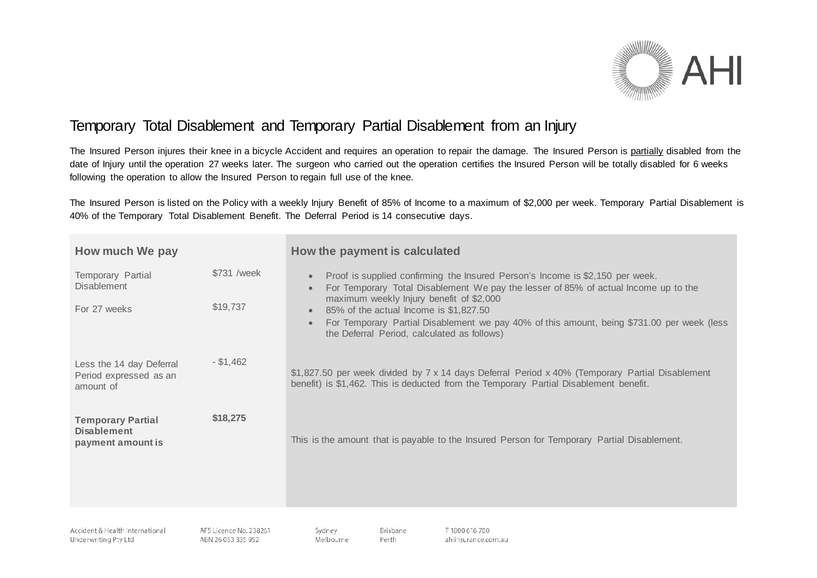

# Temporary Total Disablement and Temporary Partial Disablement from an Injury

The Insured Person injures their knee in a bicycle Accident and requires an operation to repair the damage. The Insured Person is partially disabled from the date of Injury until the operation 27 weeks later. The surgeon who carried out the operation certifies the Insured Person will be totally disabled for 6 weeks following the operation to allow the Insured Person to regain full use of the knee.

The Insured Person is listed on the Policy with a weekly Injury Benefit of 85% of Income to a maximum of \$2,000 per week. Temporary Partial Disablement is 40% of the Temporary Total Disablement Benefit. The Deferral Period is 14 consecutive days.

| How much We pay                                                     |                         | How the payment is calculated                                                                                                                                                                                                                                                                                                                                                                                        |
|---------------------------------------------------------------------|-------------------------|----------------------------------------------------------------------------------------------------------------------------------------------------------------------------------------------------------------------------------------------------------------------------------------------------------------------------------------------------------------------------------------------------------------------|
| Temporary Partial<br><b>Disablement</b><br>For 27 weeks             | \$731 /week<br>\$19,737 | Proof is supplied confirming the Insured Person's Income is \$2,150 per week.<br>For Temporary Total Disablement We pay the lesser of 85% of actual Income up to the<br>maximum weekly Injury benefit of \$2,000<br>85% of the actual Income is \$1,827.50<br>$\bullet$<br>For Temporary Partial Disablement we pay 40% of this amount, being \$731.00 per week (less<br>the Deferral Period, calculated as follows) |
| Less the 14 day Deferral<br>Period expressed as an<br>amount of     | $-$ \$1,462             | \$1,827.50 per week divided by 7 x 14 days Deferral Period x 40% (Temporary Partial Disablement<br>benefit) is \$1,462. This is deducted from the Temporary Partial Disablement benefit.                                                                                                                                                                                                                             |
| <b>Temporary Partial</b><br><b>Disablement</b><br>payment amount is | \$18,275                | This is the amount that is payable to the Insured Person for Temporary Partial Disablement.                                                                                                                                                                                                                                                                                                                          |

Brisbane

Perth

Accident & Health International Underwriting Pty Ltd

AFS Licence No. 238261 ABN 26 053 335 952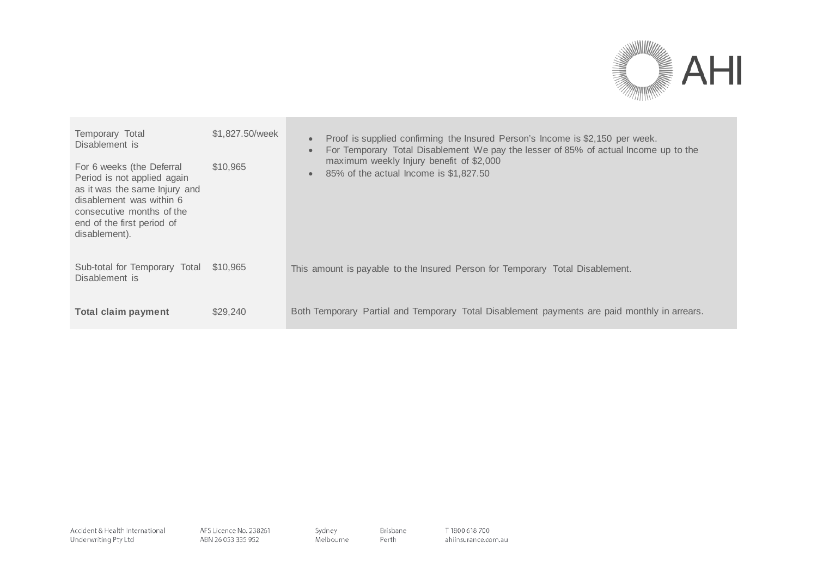

| Temporary Total<br>Disablement is<br>For 6 weeks (the Deferral<br>Period is not applied again<br>as it was the same lnjury and<br>disablement was within 6<br>consecutive months of the<br>end of the first period of<br>disablement). | \$1,827,50/week<br>\$10,965 | Proof is supplied confirming the Insured Person's Income is \$2,150 per week.<br>$\bullet$<br>For Temporary Total Disablement We pay the lesser of 85% of actual Income up to the<br>maximum weekly Injury benefit of \$2,000<br>85% of the actual Income is \$1,827.50<br>$\bullet$ |
|----------------------------------------------------------------------------------------------------------------------------------------------------------------------------------------------------------------------------------------|-----------------------------|--------------------------------------------------------------------------------------------------------------------------------------------------------------------------------------------------------------------------------------------------------------------------------------|
| Sub-total for Temporary Total \$10,965<br>Disablement is                                                                                                                                                                               |                             | This amount is payable to the Insured Person for Temporary Total Disablement.                                                                                                                                                                                                        |
| <b>Total claim payment</b>                                                                                                                                                                                                             | \$29,240                    | Both Temporary Partial and Temporary Total Disablement payments are paid monthly in arrears.                                                                                                                                                                                         |

Brisbane

Perth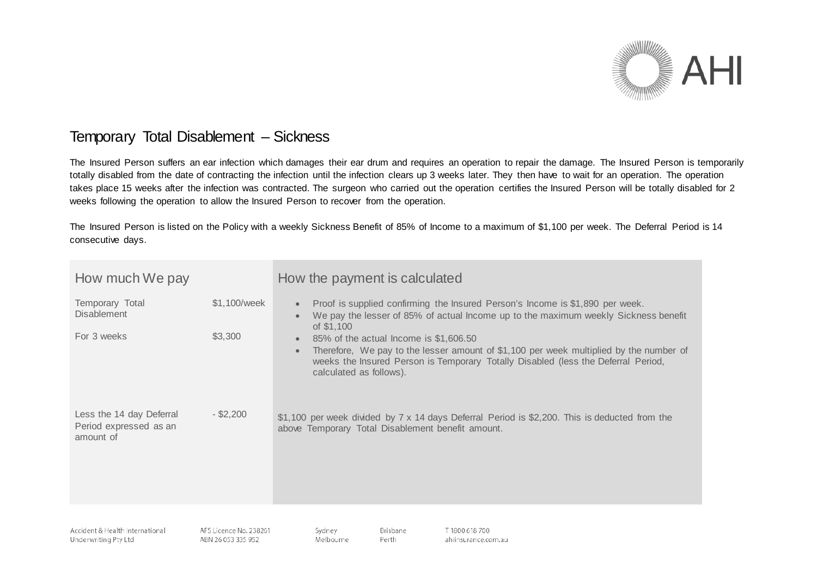

## Temporary Total Disablement – Sickness

The Insured Person suffers an ear infection which damages their ear drum and requires an operation to repair the damage. The Insured Person is temporarily totally disabled from the date of contracting the infection until the infection clears up 3 weeks later. They then have to wait for an operation. The operation takes place 15 weeks after the infection was contracted. The surgeon who carried out the operation certifies the Insured Person will be totally disabled for 2 weeks following the operation to allow the Insured Person to recover from the operation.

The Insured Person is listed on the Policy with a weekly Sickness Benefit of 85% of Income to a maximum of \$1,100 per week. The Deferral Period is 14 consecutive days.

| How much We pay                                                 |                         | How the payment is calculated                                                                                                                                                                                                                                                                                                                                                                                                          |
|-----------------------------------------------------------------|-------------------------|----------------------------------------------------------------------------------------------------------------------------------------------------------------------------------------------------------------------------------------------------------------------------------------------------------------------------------------------------------------------------------------------------------------------------------------|
| Temporary Total<br><b>Disablement</b><br>For 3 weeks            | \$1,100/week<br>\$3,300 | Proof is supplied confirming the Insured Person's Income is \$1,890 per week.<br>We pay the lesser of 85% of actual Income up to the maximum weekly Sickness benefit<br>of \$1,100<br>85% of the actual lncome is \$1,606.50<br>Therefore, We pay to the lesser amount of \$1,100 per week multiplied by the number of<br>weeks the Insured Person is Temporary Totally Disabled (less the Deferral Period,<br>calculated as follows). |
| Less the 14 day Deferral<br>Period expressed as an<br>amount of | $-$ \$2,200             | \$1,100 per week divided by $7 \times 14$ days Deferral Period is \$2,200. This is deducted from the<br>above Temporary Total Disablement benefit amount.                                                                                                                                                                                                                                                                              |

Brisbane

Perth

Accident & Health International Underwriting Pty Ltd

AFS Licence No. 238261 ABN 26 053 335 952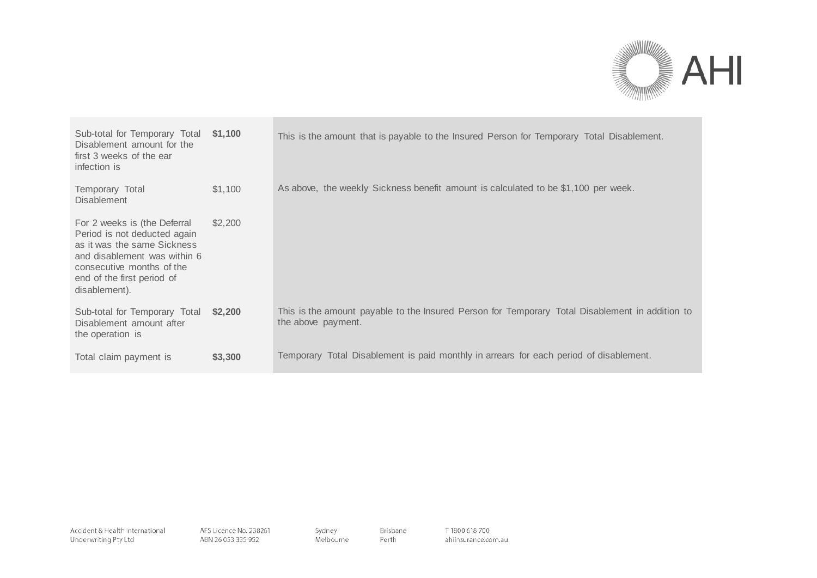

| Sub-total for Temporary Total<br>Disablement amount for the<br>first 3 weeks of the ear<br>infection is                                                                                                 | \$1,100 | This is the amount that is payable to the Insured Person for Temporary Total Disablement.                             |
|---------------------------------------------------------------------------------------------------------------------------------------------------------------------------------------------------------|---------|-----------------------------------------------------------------------------------------------------------------------|
| Temporary Total<br><b>Disablement</b>                                                                                                                                                                   | \$1,100 | As above, the weekly Sickness benefit amount is calculated to be \$1,100 per week.                                    |
| For 2 weeks is (the Deferral<br>Period is not deducted again<br>as it was the same Sickness<br>and disablement was within 6<br>consecutive months of the<br>end of the first period of<br>disablement). | \$2,200 |                                                                                                                       |
| Sub-total for Temporary Total<br>Disablement amount after<br>the operation is                                                                                                                           | \$2,200 | This is the amount payable to the Insured Person for Temporary Total Disablement in addition to<br>the above payment. |
| Total claim payment is                                                                                                                                                                                  | \$3,300 | Temporary Total Disablement is paid monthly in arrears for each period of disablement.                                |

Brisbane

Perth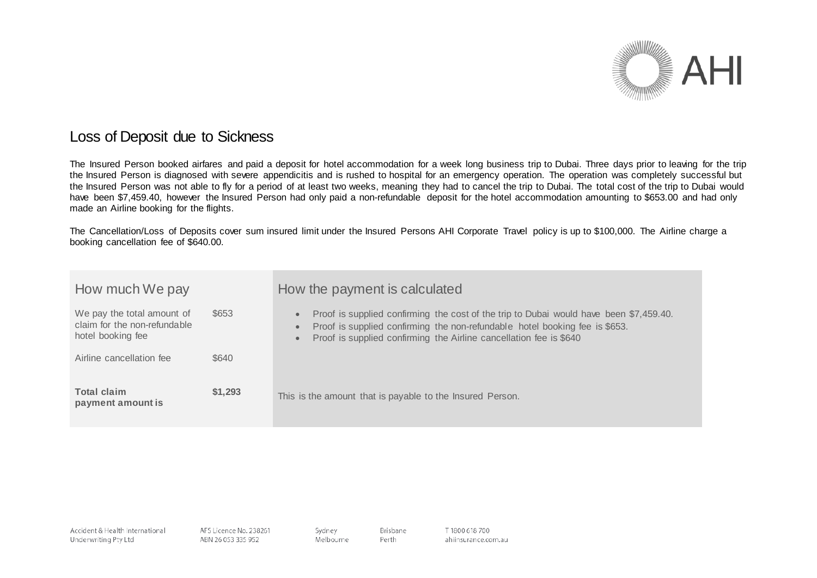

#### Loss of Deposit due to Sickness

The Insured Person booked airfares and paid a deposit for hotel accommodation for a week long business trip to Dubai. Three days prior to leaving for the trip the Insured Person is diagnosed with severe appendicitis and is rushed to hospital for an emergency operation. The operation was completely successful but the Insured Person was not able to fly for a period of at least two weeks, meaning they had to cancel the trip to Dubai. The total cost of the trip to Dubai would have been \$7,459.40, however the Insured Person had only paid a non-refundable deposit for the hotel accommodation amounting to \$653.00 and had only made an Airline booking for the flights.

The Cancellation/Loss of Deposits cover sum insured limit under the Insured Persons AHI Corporate Travel policy is up to \$100,000. The Airline charge a booking cancellation fee of \$640.00.

| How much We pay                                                                 |         | How the payment is calculated                                                                                                                                                                                                                                                      |
|---------------------------------------------------------------------------------|---------|------------------------------------------------------------------------------------------------------------------------------------------------------------------------------------------------------------------------------------------------------------------------------------|
| We pay the total amount of<br>claim for the non-refundable<br>hotel booking fee | \$653   | Proof is supplied confirming the cost of the trip to Dubai would have been \$7,459.40.<br>$\bullet$<br>Proof is supplied confirming the non-refundable hotel booking fee is \$653.<br>$\bullet$<br>Proof is supplied confirming the Airline cancellation fee is \$640<br>$\bullet$ |
| Airline cancellation fee                                                        | \$640   |                                                                                                                                                                                                                                                                                    |
| Total claim<br>payment amount is                                                | \$1,293 | This is the amount that is payable to the Insured Person.                                                                                                                                                                                                                          |

Brisbane

Perth